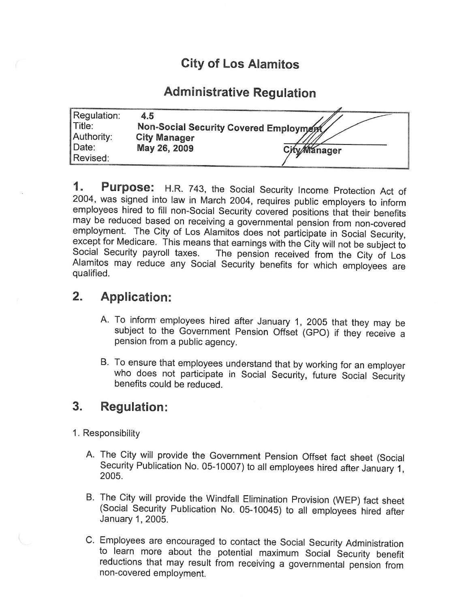# City of Los Alamitos

# Administrative Regulation

| Regulation: | 45                                     |                     |
|-------------|----------------------------------------|---------------------|
| $\ $ Title: | Non-Social Security Covered Employment |                     |
| Authority:  | <b>City Manager</b>                    |                     |
| Date:       | May 26, 2009                           | <b>City Manager</b> |
| Revised:    |                                        |                     |

1. Purpose: H.R. 743, the Social Security Income Protection Act of 2004, was signed into law in March 2004, requires public employers to inform employees hired to fill non-Social Security covered positions that their benefits may be reduced based on receiving a governmental pension from non-covered employment. The City of Los Alamitos does not participate in Social Security, except for Medicare. This means that earnings with the City will not be subject to Social Security payroll taxes. The pension received from the City of Los The pension received from the City of Los Alamitos may reduce any Social Security benefits for which employees are qualified.

### 2. Application:

- A. To inform employees hired after January 1, 2005 that they may be subject to the Government Pension Offset (GPO) if they receive a pension from a public agency.
- B. To ensure that employees understand that by working for an employer who does not participate in Social Security, future Social Security benefits could be reduced.

#### 3. Regulation:

- 1. Responsibility
	- A. The City will provide the Government Pension Offset fact sheet (Social Security Publication No. 05- 10007) to all employees hired after January 1, 2005.
	- B. The City will provide the Windfall Elimination Provision (WEP) fact sheet Social Security Publication No. 05- 10045) to all employees hired after January 1, 2005.
	- C. Employees are encouraged to contact the Social Security Administration to learn more about the potential maximum Social Security benefit reductions that may result from receiving a governmental pension from non-covered employment.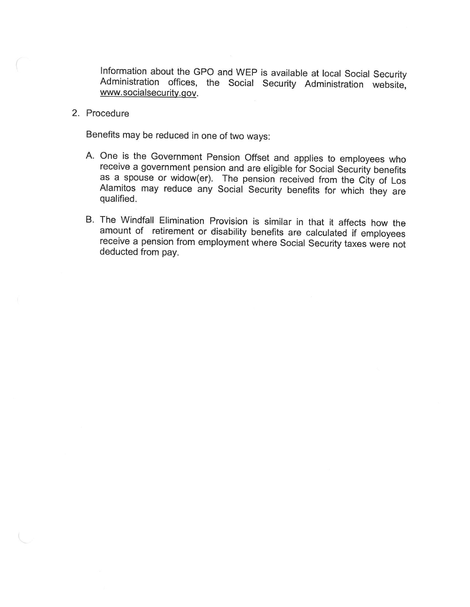Information about the GPO and WEP is available at local Social Security Administration offices, the Social Security Administration website, www.socialsecurity.gov.

2. Procedure

Benefits may be reduced in one of two ways:

- A. One is the Government Pension Offset and applies to employees who receive a government pension and are eligible for Social Security benefits as <sup>a</sup> spouse or widow(er). The pension received from the City of Los Alamitos may reduce any Social Security benefits for which they are qualified.
- B. The Windfall Elimination Provision is similar in that it affects how the amount of retirement or disability benefits are calculated if employees receive a pension from employment where Social Security taxes were not deducted from pay.